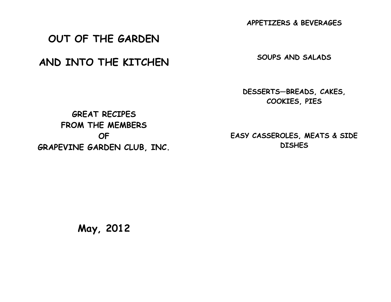**APPETIZERS & BEVERAGES**

# **OUT OF THE GARDEN**

# **AND INTO THE KITCHEN**

**SOUPS AND SALADS**

**DESSERTS—BREADS, CAKES, COOKIES, PIES**

**GREAT RECIPES FROM THE MEMBERS OF GRAPEVINE GARDEN CLUB, INC.**

**EASY CASSEROLES, MEATS & SIDE DISHES**

**May, 2012**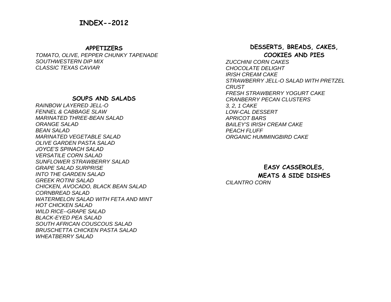#### **APPETIZERS**

*TOMATO, OLIVE, PEPPER CHUNKY TAPENADE SOUTHWESTERN DIP MIX CLASSIC TEXAS CAVIAR*

## **SOUPS AND SALADS**

*RAINBOW LAYERED JELL-O FENNEL & CABBAGE SLAW MARINATED THREE-BEAN SALAD ORANGE SALAD BEAN SALAD MARINATED VEGETABLE SALAD OLIVE GARDEN PASTA SALAD JOYCE'S SPINACH SALAD VERSATILE CORN SALAD SUNFLOWER STRAWBERRY SALAD GRAPE SALAD SURPRISE INTO THE GARDEN SALAD GREEK ROTINI SALAD CHICKEN, AVOCADO, BLACK BEAN SALAD CORNBREAD SALAD WATERMELON SALAD WITH FETA AND MINT HOT CHICKEN SALAD WILD RICE--GRAPE SALAD BLACK-EYED PEA SALAD SOUTH AFRICAN COUSCOUS SALAD BRUSCHETTA CHICKEN PASTA SALAD WHEATBERRY SALAD*

## **DESSERTS, BREADS, CAKES, COOKIES AND PIES**

*ZUCCHINI CORN CAKES CHOCOLATE DELIGHT IRISH CREAM CAKE STRAWBERRY JELL-O SALAD WITH PRETZEL CRUST FRESH STRAWBERRY YOGURT CAKE CRANBERRY PECAN CLUSTERS 3, 2, 1 CAKE LOW-CAL DESSERT APRICOT BARS BAILEY'S IRISH CREAM CAKE PEACH FLUFF ORGANIC HUMMINGBIRD CAKE*

**EASY CASSEROLES, MEATS & SIDE DISHES** *CILANTRO CORN*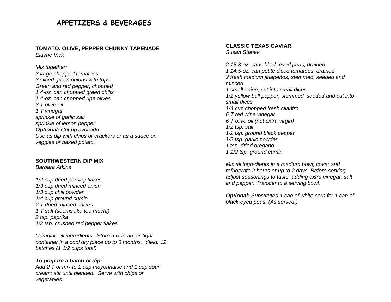## **APPETIZERS & BEVERAGES**

#### **TOMATO, OLIVE, PEPPER CHUNKY TAPENADE** *Elayne Vick*

*Mix together:* 

*3 large chopped tomatoes 3 sliced green onions with tops Green and red pepper, chopped 1 4-oz. can chopped green chilis 1 4-oz. can chopped ripe olives 3 T olive oil 1 T vinegar sprinkle of garlic salt sprinkle of lemon pepper Optional: Cut up avocado Use as dip with chips or crackers or as a sauce on veggies or baked potato.*

#### **SOUTHWESTERN DIP MIX**

*Barbara Atkins*

*1/2 cup dried parsley flakes 1/3 cup dried minced onion 1/3 cup chili powder 1/4 cup ground cumin 2 T dried minced chives 1 T salt (seems like too much!) 2 tsp. paprika 1/2 tsp. crushed red pepper flakes*

*Combine all ingredients. Store mix in an air-tight container in a cool dry place up to 6 months. Yield: 12 batches (1 1/2 cups total)*

## *To prepare a batch of dip:*

*Add 2 T of mix to 1 cup mayonnaise and 1 cup sour cream; stir until blended. Serve with chips or vegetables*.

**CLASSIC TEXAS CAVIAR** *Susan Stanek*

*2 15.8-oz. cans black-eyed peas, drained 1 14.5-oz. can petite diced tomatoes, drained 2 fresh medium jalapeños, stemmed, seeded and minced 1 small [onion,](http://allrecipes.com/recipe/classic-texas-caviar/) cut into small dices 1/2 yellow bell pepper, stemmed, seeded and cut into small dices 1/4 cup chopped fresh cilantro 6 T red wine vinegar 6 T olive oil (not extra virgin) 1/2 tsp. [salt](http://allrecipes.com/recipe/classic-texas-caviar/) 1/2 tsp. [ground black pepper](http://allrecipes.com/recipe/classic-texas-caviar/) 1/2 tsp. garlic powder 1 tsp. dried oregano 1 1/2 tsp. ground cumin*

*Mix all ingredients in a medium bowl; cover and refrigerate 2 hours or up to 2 days. Before serving, adjust seasonings to taste, adding extra vinegar, salt and pepper. Transfer to a serving bowl.*

*Optional: Substituted 1 can of white corn for 1 can of black-eyed peas. (As served.)*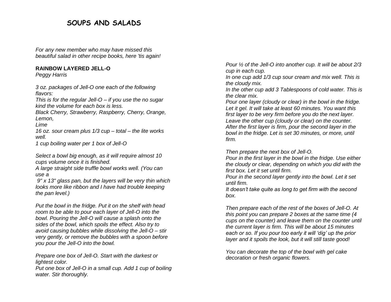## **SOUPS AND SALADS**

*For any new member who may have missed this beautiful salad in other recipe books, here 'tis again!*

## **RAINBOW LAYERED JELL-O**

*Peggy Harris*

*3 oz. packages of Jell-O one each of the following flavors:*

*This is for the regular Jell-O – if you use the no sugar kind the volume for each box is less.*

*Black Cherry, Strawberry, Raspberry, Cherry, Orange, Lemon,*

*Lime*

*16 oz. sour cream plus 1/3 cup – total – the lite works well.*

*1 cup boiling water per 1 box of Jell-O*

*Select a bowl big enough, as it will require almost 10 cups volume once it is finished.*

*A large straight side truffle bowl works well. (You can use a*

*9" x 13" glass pan, but the layers will be very thin which looks more like ribbon and I have had trouble keeping the pan level.)*

*Put the bowl in the fridge. Put it on the shelf with head room to be able to pour each layer of Jell-O into the bowl. Pouring the Jell-O will cause a splash onto the sides of the bowl, which spoils the effect. Also try to avoid causing bubbles while dissolving the Jell-O – stir very gently, or remove the bubbles with a spoon before you pour the Jell-O into the bowl.*

*Prepare one box of Jell-O. Start with the darkest or lightest color.*

*Put one box of Jell-O in a small cup. Add 1 cup of boiling water. Stir thoroughly.*

*Pour ½ of the Jell-O into another cup. It will be about 2/3 cup in each cup.*

*In one cup add 1/3 cup sour cream and mix well. This is the cloudy mix.*

*In the other cup add 3 Tablespoons of cold water. This is the clear mix.*

*Pour one layer (cloudy or clear) in the bowl in the fridge. Let it gel. It will take at least 60 minutes. You want this first layer to be very firm before you do the next layer. Leave the other cup (cloudy or clear) on the counter. After the first layer is firm, pour the second layer in the bowl in the fridge. Let is set 30 minutes, or more, until firm.*

*Then prepare the next box of Jell-O.* 

*Pour in the first layer in the bowl in the fridge. Use either the cloudy or clear, depending on which you did with the first box. Let it set until firm.* 

*Pour in the second layer gently into the bowl. Let it set until firm.*

*It doesn't take quite as long to get firm with the second box.*

*Then prepare each of the rest of the boxes of Jell-O. At this point you can prepare 2 boxes at the same time (4 cups on the counter) and leave them on the counter until the current layer is firm. This will be about 15 minutes each or so. If you pour too early it will 'dig' up the prior layer and it spoils the look, but it will still taste good!*

*You can decorate the top of the bowl with gel cake decoration or fresh organic flowers.*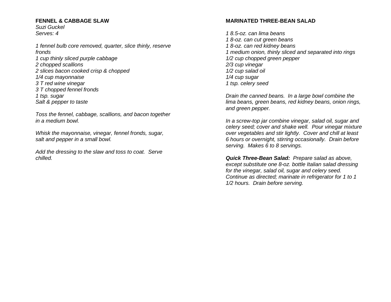#### **FENNEL & CABBAGE SLAW**

*Suzi Guckel Serves: 4*

*1 fennel bulb core removed, quarter, slice thinly, reserve fronds 1 cup thinly sliced purple cabbage 2 chopped scallions 2 slices bacon cooked crisp & chopped 1/4 cup mayonnaise 3 T red wine vinegar 3 T chopped fennel fronds 1 tsp. sugar Salt & pepper to taste*

*Toss the fennel, cabbage, scallions, and bacon together in a medium bowl.*

*Whisk the mayonnaise, vinegar, fennel fronds, sugar, salt and pepper in a small bowl.*

*Add the dressing to the slaw and toss to coat. Serve chilled.*

## **MARINATED THREE-BEAN SALAD**

*1 8.5-oz. can lima beans 1 8-oz. can cut green beans 1 8-oz. can red kidney beans 1 medium onion, thinly sliced and separated into rings 1/2 cup chopped green pepper 2/3 cup vinegar 1/2 cup salad oil 1/4 cup sugar 1 tsp. celery seed*

*Drain the canned beans. In a large bowl combine the lima beans, green beans, red kidney beans, onion rings, and green pepper.*

*In a screw-top jar combine vinegar, salad oil, sugar and celery seed; cover and shake well. Pour vinegar mixture over vegetables and stir lightly. Cover and chill at least 6 hours or overnight, stirring occasionally. Drain before serving. Makes 6 to 8 servings.*

*Quick Three-Bean Salad: Prepare salad as above, except substitute one 8-oz. bottle Italian salad dressing for the vinegar, salad oil, sugar and celery seed. Continue as directed; marinate in refrigerator for 1 to 1 1/2 hours. Drain before serving.*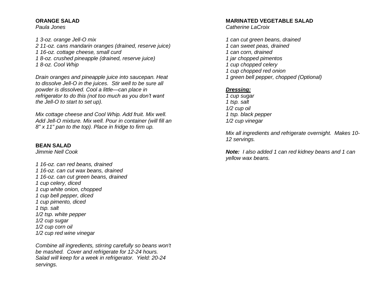#### **ORANGE SALAD**

*Paula Jones*

*1 3-oz. orange Jell-O mix 2 11-oz. cans mandarin oranges (drained, reserve juice) 1 16-oz. cottage cheese, small curd 1 8-oz. crushed pineapple (drained, reserve juice) 1 8-oz. Cool Whip*

*Drain oranges and pineapple juice into saucepan. Heat to dissolve Jell-O in the juices. Stir well to be sure all powder is dissolved. Cool a little—can place in refrigerator to do this (not too much as you don't want the Jell-O to start to set up).*

*Mix cottage cheese and Cool Whip. Add fruit. Mix well. Add Jell-O mixture. Mix well. Pour in container (will fill an 8" x 11" pan to the top). Place in fridge to firm up.*

#### **BEAN SALAD**

*Jimmie Nell Cook*

*1 16-oz. can red beans, drained 1 16-oz. can cut wax beans, drained 1 16-oz. can cut green beans, drained 1 cup celery, diced 1 cup white onion, chopped 1 cup bell pepper, diced 1 cup pimento, diced 1 tsp. salt 1/2 tsp. white pepper 1/2 cup sugar 1/2 cup corn oil 1/2 cup red wine vinegar*

*Combine all ingredients, stirring carefully so beans won't be mashed. Cover and refrigerate for 12-24 hours. Salad will keep for a week in refrigerator. Yield: 20-24 servings.*

#### **MARINATED VEGETABLE SALAD**

*Catherine LaCroix*

*1 can cut green beans, drained 1 can sweet peas, drained 1 can corn, drained 1 jar chopped pimentos 1 cup chopped celery 1 cup chopped red onion 1 green bell pepper, chopped (Optional)*

## *Dressing:*

*1 cup sugar 1 tsp. salt 1/2 cup oil 1 tsp. black pepper 1/2 cup vinegar*

*Mix all ingredients and refrigerate overnight. Makes 10- 12 servings.*

*Note: I also added 1 can red kidney beans and 1 can yellow wax beans.*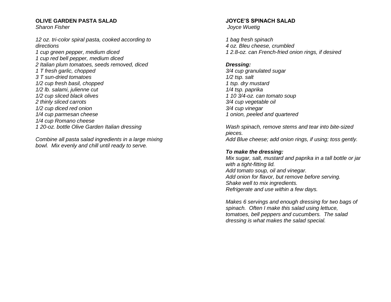#### **OLIVE GARDEN PASTA SALAD**

*Sharon Fisher*

*12 oz. tri-color spiral pasta, cooked according to directions 1 cup green pepper, medium diced 1 cup red bell pepper, medium diced 2 Italian plum tomatoes, seeds removed, diced 1 T fresh garlic, chopped 3 T sun-dried tomatoes 1/2 cup fresh basil, chopped 1/2 lb. salami, julienne cut 1/2 cup sliced black olives 2 thinly sliced carrots*

- *1/2 cup diced red onion 1/4 cup parmesan cheese*
- *1/4 cup Romano cheese*
- *1 20-oz. bottle Olive Garden Italian dressing*

*Combine all pasta salad ingredients in a large mixing bowl. Mix evenly and chill until ready to serve.*

#### **JOYCE'S SPINACH SALAD** *Joyce Wuetig*

*1 bag fresh spinach 4 oz. Bleu cheese, crumbled 1 2.8-oz. can French-fried onion rings, if desired*

## *Dressing:*

*3/4 cup granulated sugar 1/2 tsp. salt 1 tsp. dry mustard 1/4 tsp. paprika 1 10 3/4-oz. can tomato soup 3/4 cup vegetable oil 3/4 cup vinegar 1 onion, peeled and quartered*

*Wash spinach, remove stems and tear into bite-sized pieces. Add Blue cheese; add onion rings, if using; toss gently.*

## *To make the dressing:*

*Mix sugar, salt, mustard and paprika in a tall bottle or jar with a tight-fitting lid. Add tomato soup, oil and vinegar. Add onion for flavor, but remove before serving. Shake well to mix ingredients. Refrigerate and use within a few days.*

*Makes 6 servings and enough dressing for two bags of spinach. Often I make this salad using lettuce, tomatoes, bell peppers and cucumbers. The salad dressing is what makes the salad special.*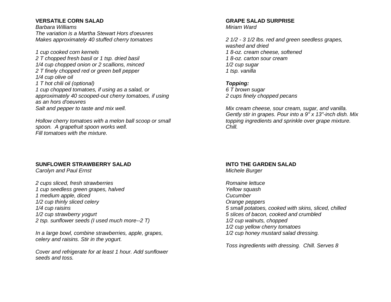## **VERSATILE CORN SALAD**

*Barbara Williams The variation is a Martha Stewart Hors d'oeuvres Makes approximately 40 stuffed cherry tomatoes*

*1 cup cooked corn kernels 2 T chopped fresh basil or 1 tsp. dried basil 1/4 cup chopped onion or 2 scallions, minced 2 T finely chopped red or green bell pepper 1/4 cup olive oil 1 T hot chili oil (optional) 1 cup chopped tomatoes, if using as a salad, or approximately 40 scooped-out cherry tomatoes, if using as an hors d'oeuvres Salt and pepper to taste and mix well.*

*Hollow cherry tomatoes with a melon ball scoop or small spoon. A grapefruit spoon works well. Fill tomatoes with the mixture.*

#### **SUNFLOWER STRAWBERRY SALAD**

*Carolyn and Paul Ernst*

*2 cups sliced, fresh strawberries 1 cup seedless green grapes, halved 1 medium apple, diced 1/2 cup thinly sliced celery 1/4 cup raisins 1/2 cup strawberry yogurt 2 tsp. sunflower seeds (I used much more--2 T)*

*In a large bowl, combine strawberries, apple, grapes, celery and raisins. Stir in the yogurt.*

*Cover and refrigerate for at least 1 hour. Add sunflower seeds and toss.*

#### **GRAPE SALAD SURPRISE** *Miriam Ward*

*2 1/2 - 3 1/2 lbs. red and green seedless grapes, washed and dried 1 8-oz. cream cheese, softened 1 8-oz. carton sour cream 1/2 cup sugar 1 tsp. vanilla*

## *Topping:*

*6 T brown sugar 2 cups finely chopped pecans*

*Mix cream cheese, sour cream, sugar, and vanilla. Gently stir in grapes. Pour into a 9" x 13"-inch dish. Mix topping ingredients and sprinkle over grape mixture. Chill.*

#### **INTO THE GARDEN SALAD** *Michele Burger*

*Romaine lettuce Yellow squash Cucumber Orange peppers 5 small potatoes, cooked with skins, sliced, chilled 5 slices of bacon, cooked and crumbled 1/2 cup walnuts, chopped 1/2 cup yellow cherry tomatoes 1/2 cup honey mustard salad dressing.*

*Toss ingredients with dressing. Chill. Serves 8*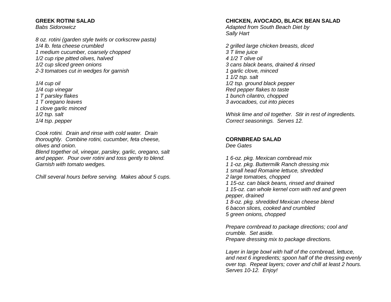### **GREEK ROTINI SALAD**

*Babs Sidorowicz*

*8 oz. rotini (garden style twirls or corkscrew pasta) 1/4 lb. feta cheese crumbled 1 medium cucumber, coarsely chopped 1/2 cup ripe pitted olives, halved 1/2 cup sliced green onions 2-3 tomatoes cut in wedges for garnish*

*1/4 cup oil 1/4 cup vinegar 1 T parsley flakes 1 T oregano leaves 1 clove garlic minced 1/2 tsp. salt 1/4 tsp. pepper*

*Cook rotini. Drain and rinse with cold water. Drain thoroughly. Combine rotini, cucumber, feta cheese, olives and onion.* 

*Blend together oil, vinegar, parsley, garlic, oregano, salt and pepper. Pour over rotini and toss gently to blend. Garnish with tomato wedges.*

*Chill several hours before serving. Makes about 5 cups.*

## **CHICKEN, AVOCADO, BLACK BEAN SALAD**

*Adapted from South Beach Diet by Sally Hart*

*2 grilled large chicken breasts, diced 3 T lime juice 4 1/2 T olive oil 3 cans black beans, drained & rinsed 1 garlic clove, minced 1 1/2 tsp. salt 1/2 tsp. ground black pepper Red pepper flakes to taste 1 bunch cilantro, chopped 3 avocadoes, cut into pieces*

*Whisk lime and oil together. Stir in rest of ingredients. Correct seasonings. Serves 12.*

## **CORNBREAD SALAD**

*Dee Gates*

*1 6-oz. pkg. Mexican cornbread mix*

- *1 1-oz. pkg. Buttermilk Ranch dressing mix*
- *1 small head Romaine lettuce, shredded*
- *2 large tomatoes, chopped*
- *1 15-oz. can black beans, rinsed and drained*

*1 15-oz. can whole kernel corn with red and green pepper, drained*

*1 8-oz. pkg. shredded Mexican cheese blend 6 bacon slices, cooked and crumbled*

*5 green onions, chopped*

*Prepare cornbread to package directions; cool and crumble. Set aside. Prepare dressing mix to package directions.*

*Layer in large bowl with half of the cornbread, lettuce, and next 6 ingredients; spoon half of the dressing evenly over top. Repeat layers; cover and chill at least 2 hours. Serves 10-12. Enjoy!*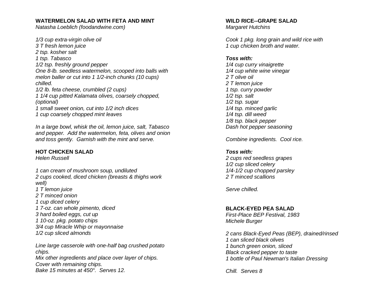#### **WATERMELON SALAD WITH FETA AND MINT**

*Natasha Loeblich (foodandwine.com)*

*1/3 cup extra-virgin olive oil 3 T fresh lemon juice 2 tsp. kosher salt 1 tsp. Tabasco 1/2 tsp. freshly ground pepper One 8-lb. seedless watermelon, scooped into balls with melon baller or cut into 1 1/2-inch chunks (10 cups) chilled. 1/2 lb. feta cheese, crumbled (2 cups) 1 1/4 cup pitted Kalamata olives, coarsely chopped, (optional)*

*1 small sweet onion, cut into 1/2 inch dices 1 cup coarsely chopped mint leaves*

*In a large bowl, whisk the oil, lemon juice, salt, Tabasco and pepper. Add the watermelon, feta, olives and onion and toss gently. Garnish with the mint and serve.*

## **HOT CHICKEN SALAD**

*Helen Russell*

*1 can cream of mushroom soup, undiluted 2 cups cooked, diced chicken (breasts & thighs work well) 1 T lemon juice 2 T minced onion 1 cup diced celery 1 7-oz. can whole pimento, diced 3 hard boiled eggs, cut up 1 10-oz. pkg. potato chips 3/4 cup Miracle Whip or mayonnaise 1/2 cup sliced almonds*

*Line large casserole with one-half bag crushed potato chips. Mix other ingredients and place over layer of chips. Cover with remaining chips. Bake 15 minutes at 450°. Serves 12.*

## **WILD RICE--GRAPE SALAD**

*Margaret Hutchins*

*Cook 1 pkg. long grain and wild rice with 1 cup chicken broth and water.*

#### *Toss with:*

*1/4 cup curry vinaigrette 1/4 cup white wine vinegar 2 T olive oil 2 T lemon juice 1 tsp. curry powder 1/2 tsp. salt 1/2 tsp. sugar 1/4 tsp. minced garlic 1/4 tsp. dill weed 1/8 tsp. black pepper Dash hot pepper seasoning*

*Combine ingredients. Cool rice.*

## *Toss with:*

*2 cups red seedless grapes 1/2 cup sliced celery 1/4-1/2 cup chopped parsley 2 T minced scallions*

*Serve chilled.*

## **BLACK-EYED PEA SALAD**

*First-Place BEP Festival, 1983 Michele Burger*

*2 cans Black-Eyed Peas (BEP), drained/rinsed 1 can sliced black olives 1 bunch green onion, sliced Black cracked pepper to taste 1 bottle of Paul Newman's Italian Dressing*

*Chill. Serves 8*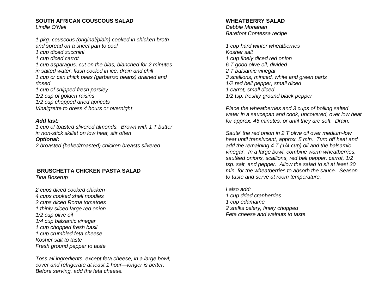## **SOUTH AFRICAN COUSCOUS SALAD**

*Lindle O'Neil*

*1 pkg. couscous (original/plain) cooked in chicken broth and spread on a sheet pan to cool 1 cup diced zucchini 1 cup diced carrot 1 cup asparagus, cut on the bias, blanched for 2 minutes in salted water, flash cooled in ice, drain and chill 1 cup or can chick peas (garbanzo beans) drained and rinsed 1 cup of snipped fresh parsley 1/2 cup of golden raisins 1/2 cup chopped dried apricots Vinaigrette to dress 4 hours or overnight*

#### *Add last:*

*1 cup of toasted slivered almonds. Brown with 1 T butter in non-stick skillet on low heat, stir often Optional: 2 broasted (baked/roasted) chicken breasts slivered*

## **BRUSCHETTA CHICKEN PASTA SALAD**

*Tina Boserup*

*2 cups diced cooked chicken 4 cups cooked shell noodles 2 cups diced Roma tomatoes 1 thinly sliced large red onion 1/2 cup olive oil 1/4 cup balsamic vinegar 1 cup chopped fresh basil 1 cup crumbled feta cheese Kosher salt to taste Fresh ground pepper to taste*

*Toss all ingredients, except feta cheese, in a large bowl; cover and refrigerate at least 1 hour—longer is better. Before serving, add the feta cheese.*

#### **WHEATBERRY SALAD**

*Debbie Monahan Barefoot Contessa recipe*

*1 cup hard winter wheatberries Kosher salt 1 cup finely diced red onion 6 T good olive oil, divided 2 T balsamic vinegar 3 scallions, minced, white and green parts 1/2 red bell pepper, small diced 1 carrot, small diced 1/2 tsp. freshly ground black pepper*

*Place the wheatberries and 3 cups of boiling salted water in a saucepan and cook, uncovered, over low heat for approx. 45 minutes, or until they are soft. Drain.*

*Saute' the red onion in 2 T olive oil over medium-low heat until translucent, approx. 5 min. Turn off heat and add the remaining 4 T (1/4 cup) oil and the balsamic vinegar. In a large bowl, combine warm wheatberries, sautéed onions, scallions, red bell pepper, carrot, 1/2 tsp. salt, and pepper. Allow the salad to sit at least 30 min. for the wheatberries to absorb the sauce. Season to taste and serve at room temperature.*

*I also add: 1 cup dried cranberries 1 cup edamame 2 stalks celery, finely chopped Feta cheese and walnuts to taste.*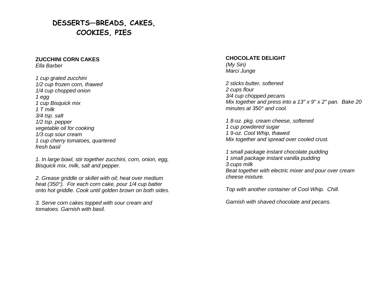# **DESSERTS—BREADS, CAKES, COOKIES, PIES**

#### **ZUCCHINI CORN CAKES** *Ella Barber*

*1 cup grated zucchini 1/2 cup frozen corn, thawed 1/4 cup chopped onion 1 egg 1 cup Bisquick mix 1 T milk 3/4 tsp. salt 1/2 tsp. pepper vegetable oil for cooking 1/3 cup sour cream 1 cup cherry tomatoes, quartered fresh basil*

*1. In large bowl, stir together zucchini, corn, onion, egg, Bisquick mix, milk, salt and pepper.*

*2. Grease griddle or skillet with oil; heat over medium heat (350°). For each corn cake, pour 1/4 cup batter onto hot griddle. Cook until golden brown on both sides.*

*3. Serve corn cakes topped with sour cream and tomatoes. Garnish with basil.*

#### **CHOCOLATE DELIGHT** *(My Sin) Marci Junge*

*2 sticks butter, softened 2 cups flour 3/4 cup chopped pecans Mix together and press into a 13" x 9" x 2" pan. Bake 20 minutes at 350° and cool.*

*1 8-oz. pkg. cream cheese, softened 1 cup powdered sugar 1 9-oz. Cool Whip, thawed Mix together and spread over cooled crust.*

*1 small package instant chocolate pudding 1 small package instant vanilla pudding 3 cups milk Beat together with electric mixer and pour over cream cheese mixture.*

*Top with another container of Cool Whip. Chill.*

*Garnish with shaved chocolate and pecans.*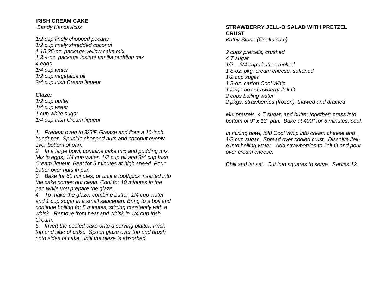## **IRISH CREAM CAKE**

*Sandy Kancavicus*

*1/2 cup finely chopped pecans 1/2 cup finely shredded coconut 1 18.25-oz. package yellow cake mix 1 3.4-oz. package instant vanilla pudding mix 4 eggs 1/4 cup water 1/2 cup vegetable oil 3/4 cup Irish Cream liqueur* 

## *Glaze:*

*1/2 cup butter 1/4 cup water 1 cup white sugar 1/4 cup Irish Cream liqueur* 

*1. Preheat oven to 325°F. Grease and flour a 10-inch bundt pan. Sprinkle chopped nuts and coconut evenly over bottom of pan.* 

*2. In a large bowl, combine cake mix and pudding mix. Mix in eggs, 1/4 cup water, 1/2 cup oil and 3/4 cup Irish Cream liqueur. Beat for 5 minutes at high speed. Pour batter over nuts in pan.* 

*3. Bake for 60 minutes, or until a toothpick inserted into the cake comes out clean. Cool for 10 minutes in the pan while you prepare the glaze.* 

*4. To make the glaze, combine butter, 1/4 cup water and 1 cup sugar in a small saucepan. Bring to a boil and continue boiling for 5 minutes, stirring constantly with a whisk. Remove from heat and whisk in 1/4 cup Irish Cream.* 

*5. Invert the cooled cake onto a serving platter. Prick top and side of cake. Spoon glaze over top and brush onto sides of cake, until the glaze is absorbed.*

## **STRAWBERRY JELL-O SALAD WITH PRETZEL CRUST**

*Kathy Stone (Cooks.com)*

*2 cups pretzels, crushed 4 T sugar 1/2 – 3/4 cups butter, melted 1 8-oz. pkg. cream cheese, softened 1/2 cup sugar 1 8-oz. carton Cool Whip 1 large box strawberry Jell-O 2 cups boiling water 2 pkgs. strawberries (frozen), thawed and drained*

*Mix pretzels, 4 T sugar, and butter together; press into bottom of 9" x 13" pan. Bake at 400° for 6 minutes; cool.* 

*In mixing bowl, fold Cool Whip into cream cheese and 1/2 cup sugar. Spread over cooled crust. Dissolve Jello into boiling water. Add strawberries to Jell-O and pour over cream cheese.*

*Chill and let set. Cut into squares to serve. Serves 12.*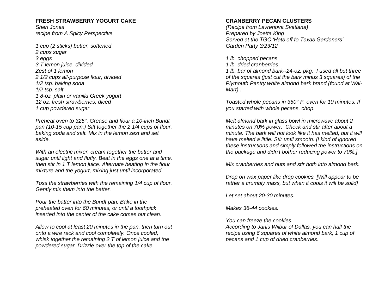#### **FRESH STRAWBERRY YOGURT CAKE**

*Sheri Jones recipe from [A Spicy Perspective](http://aspicyperspective.com/2010/05/farmstand-fresh.html)*

*1 cup (2 sticks) butter, softened 2 cups sugar 3 eggs 3 T lemon juice, divided Zest of 1 lemon 2 1/2 cups all-purpose flour, divided 1/2 tsp. baking soda 1/2 tsp. salt 1 8-oz. plain or vanilla Greek yogurt 12 oz. fresh strawberries, diced 1 cup powdered sugar*

*Preheat oven to 325°. Grease and flour a 10-inch Bundt pan (10-15 cup pan.) Sift together the 2 1/4 cups of flour, baking soda and salt. Mix in the lemon zest and set aside.*

*With an electric mixer, cream together the butter and sugar until light and fluffy. Beat in the eggs one at a time, then stir in 1 T lemon juice. Alternate beating in the flour mixture and the yogurt, mixing just until incorporated.*

*Toss the strawberries with the remaining 1/4 cup of flour. Gently mix them into the batter.*

*Pour the batter into the Bundt pan. Bake in the preheated oven for 60 minutes, or until a toothpick inserted into the center of the cake comes out clean.*

*Allow to cool at least 20 minutes in the pan, then turn out onto a wire rack and cool completely. Once cooled, whisk together the remaining 2 T of lemon juice and the powdered sugar. Drizzle over the top of the cake.*

## **CRANBERRY PECAN CLUSTERS**

*(Recipe from Lavrenova Svetlana) Prepared by Joetta King Served at the TGC 'Hats off to Texas Gardeners' Garden Party 3/23/12*

*1 lb. chopped pecans* 

*1 lb. dried cranberries* 

*1 lb. bar of almond bark--24-oz. pkg. I used all but three of the squares (just cut the bark minus 3 squares) of the Plymouth Pantry white almond bark brand (found at Wal-Mart) .*

*Toasted whole pecans in 350° F. oven for 10 minutes. If you started with whole pecans, chop.*

*Melt almond bark in glass bowl in microwave about 2 minutes on 70% power. Check and stir after about a minute. The bark will not look like it has melted, but it will have melted a little. Stir until smooth. [I kind of ignored these instructions and simply followed the instructions on the package and didn't bother reducing power to 70%.]* 

*Mix cranberries and nuts and stir both into almond bark.* 

*Drop on wax paper like drop cookies. [Will appear to be rather a crumbly mass, but when it cools it will be solid]*

*Let set about 20-30 minutes.*

*Makes 36-44 cookies.*

*You can freeze the cookies.*

*According to Janis Wilbur of Dallas, you can half the recipe using 6 squares of white almond bark, 1 cup of pecans and 1 cup of dried cranberries.*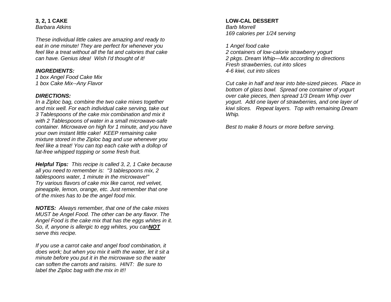**3, 2, 1 CAKE** *Barbara Atkins*

*These individual little cakes are amazing and ready to eat in one minute! They are perfect for whenever you feel like a treat without all the fat and calories that cake can have. Genius idea! Wish I'd thought of it!*

#### *INGREDIENTS:*

*1 box Angel Food Cake Mix 1 box Cake Mix--Any Flavor*

#### *DIRECTIONS:*

*In a Ziploc bag, combine the two cake mixes together and mix well. For each individual cake serving, take out 3 Tablespoons of the cake mix combination and mix it with 2 Tablespoons of water in a small microwave-safe container. Microwave on high for 1 minute, and you have your own instant little cake! KEEP remaining cake mixture stored in the Ziploc bag and use whenever you feel like a treat! You can top each cake with a dollop of fat-free whipped topping or some fresh fruit.*

*Helpful Tips: This recipe is called 3, 2, 1 Cake because all you need to remember is: "3 tablespoons mix, 2 tablespoons water, 1 minute in the microwave!" Try various flavors of cake mix like carrot, red velvet, pineapple, lemon, orange, etc. Just remember that one of the mixes has to be the angel food mix.*

*NOTES: Always remember, that one of the cake mixes MUST be Angel Food. The other can be any flavor. The Angel Food is the cake mix that has the eggs whites in it. So, if, anyone is allergic to egg whites, you canNOT serve this recipe.*

*If you use a carrot cake and angel food combination, it does work; but when you mix it with the water, let it sit a minute before you put it in the microwave so the water can soften the carrots and raisins. HINT: Be sure to label the Ziploc bag with the mix in it!!*

#### **LOW-CAL DESSERT** *Barb Morrell*

*169 calories per 1/24 serving*

*1 Angel food cake* 

*2 containers of low-calorie strawberry yogurt 2 pkgs. Dream Whip—Mix according to directions Fresh strawberries, cut into slices 4-6 kiwi, cut into slices*

*Cut cake in half and tear into bite-sized pieces. Place in bottom of glass bowl. Spread one container of yogurt over cake pieces, then spread 1/3 Dream Whip over yogurt. Add one layer of strawberries, and one layer of kiwi slices. Repeat layers. Top with remaining Dream Whip.*

*Best to make 8 hours or more before serving.*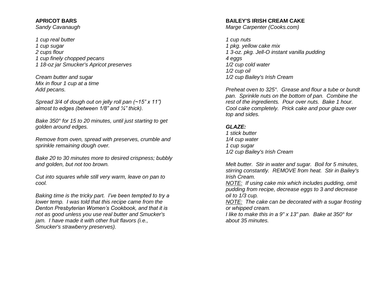## **APRICOT BARS**

*Sandy Cavanaugh*

*1 cup real butter 1 cup sugar 2 cups flour 1 cup finely chopped pecans 1 18-oz jar Smucker's Apricot preserves*

*Cream butter and sugar Mix in flour 1 cup at a time Add pecans.*

*Spread 3/4 of dough out on jelly roll pan (~15" x 11") almost to edges (between 1/8" and ¼" thick).*

*Bake 350° for 15 to 20 minutes, until just starting to get golden around edges.*

*Remove from oven, spread with preserves, crumble and sprinkle remaining dough over.*

*Bake 20 to 30 minutes more to desired crispness; bubbly and golden, but not too brown.*

*Cut into squares while still very warm, leave on pan to cool.*

*Baking time is the tricky part. I've been tempted to try a lower temp. I was told that this recipe came from the Denton Presbyterian Women's Cookbook, and that it is not as good unless you use real butter and Smucker's jam. I have made it with other fruit flavors (i.e., Smucker's strawberry preserves).*

### **BAILEY'S IRISH CREAM CAKE**

*Marge Carpenter (Cooks.com)*

*1 cup nuts 1 pkg. yellow cake mix 1 3-oz. pkg. Jell-O instant vanilla pudding 4 eggs 1/2 cup cold water 1/2 cup oil 1/2 cup Bailey's Irish Cream*

*Preheat oven to 325°. Grease and flour a tube or bundt pan. Sprinkle nuts on the bottom of pan. Combine the rest of the ingredients. Pour over nuts. Bake 1 hour. Cool cake completely. Prick cake and pour glaze over top and sides.*

## *GLAZE:*

*1 stick butter 1/4 cup water 1 cup sugar 1/2 cup Bailey's Irish Cream*

*Melt butter. Stir in water and sugar. Boil for 5 minutes, stirring constantly. REMOVE from heat. Stir in Bailey's Irish Cream.*

*NOTE: If using cake mix which includes pudding, omit pudding from recipe, decrease eggs to 3 and decrease oil to 1/3 cup.*

*NOTE: The cake can be decorated with a sugar frosting or whipped cream.*

*I like to make this in a 9" x 13" pan. Bake at 350° for about 35 minutes.*